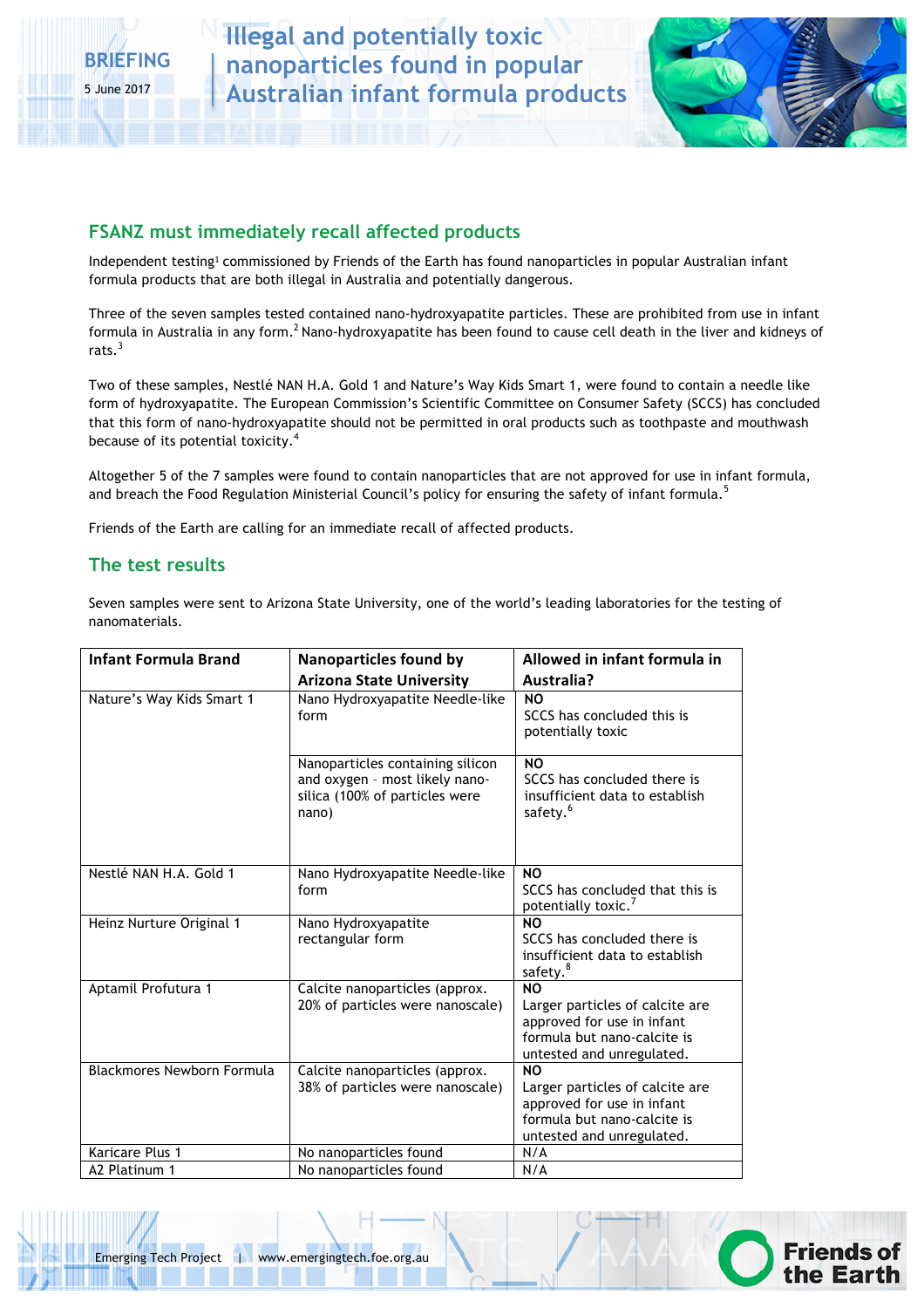**Illegal and potentially toxic nanoparticles found in popular Australian infant formula products**



### **FSANZ must immediately recall affected products**

Independent testing<sup>1</sup> commissioned by Friends of the Earth has found nanoparticles in popular Australian infant formula products that are both illegal in Australia and potentially dangerous.

Three of the seven samples tested contained nano-hydroxyapatite particles. These are prohibited from use in infant formula in Australia in any form.<sup>2</sup> Nano-hydroxyapatite has been found to cause cell death in the liver and kidneys of rats.<sup>3</sup>

Two of these samples, Nestlé NAN H.A. Gold 1 and Nature's Way Kids Smart 1, were found to contain a needle like form of hydroxyapatite. The European Commission's Scientific Committee on Consumer Safety (SCCS) has concluded that this form of nano-hydroxyapatite should not be permitted in oral products such as toothpaste and mouthwash because of its potential toxicity.<sup>4</sup>

Altogether 5 of the 7 samples were found to contain nanoparticles that are not approved for use in infant formula, and breach the Food Regulation Ministerial Council's policy for ensuring the safety of infant formula.<sup>5</sup>

Friends of the Earth are calling for an immediate recall of affected products.

### **The test results**

Seven samples were sent to Arizona State University, one of the world's leading laboratories for the testing of nanomaterials.

| <b>Infant Formula Brand</b> | <b>Nanoparticles found by</b>    | Allowed in infant formula in                                  |
|-----------------------------|----------------------------------|---------------------------------------------------------------|
|                             |                                  |                                                               |
|                             | <b>Arizona State University</b>  | Australia?                                                    |
| Nature's Way Kids Smart 1   | Nano Hydroxyapatite Needle-like  | <b>NO</b>                                                     |
|                             | form                             | SCCS has concluded this is                                    |
|                             |                                  | potentially toxic                                             |
|                             | Nanoparticles containing silicon | <b>NO</b>                                                     |
|                             | and oxygen - most likely nano-   | SCCS has concluded there is                                   |
|                             | silica (100% of particles were   | insufficient data to establish                                |
|                             | nano)                            | safety. <sup>6</sup>                                          |
|                             |                                  |                                                               |
|                             |                                  |                                                               |
| Nestlé NAN H.A. Gold 1      | Nano Hydroxyapatite Needle-like  | <b>NO</b>                                                     |
|                             | form                             | SCCS has concluded that this is                               |
|                             |                                  | potentially toxic. <sup>7</sup>                               |
| Heinz Nurture Original 1    | Nano Hydroxyapatite              | <b>NO</b>                                                     |
|                             | rectangular form                 | SCCS has concluded there is                                   |
|                             |                                  | insufficient data to establish                                |
|                             |                                  | safety. <sup>8</sup>                                          |
| Aptamil Profutura 1         | Calcite nanoparticles (approx.   | <b>NO</b>                                                     |
|                             | 20% of particles were nanoscale) | Larger particles of calcite are<br>approved for use in infant |
|                             |                                  | formula but nano-calcite is                                   |
|                             |                                  | untested and unregulated.                                     |
| Blackmores Newborn Formula  | Calcite nanoparticles (approx.   | NO.                                                           |
|                             | 38% of particles were nanoscale) | Larger particles of calcite are                               |
|                             |                                  | approved for use in infant                                    |
|                             |                                  | formula but nano-calcite is                                   |
|                             |                                  | untested and unregulated.                                     |
| Karicare Plus 1             | No nanoparticles found           | N/A                                                           |
| A2 Platinum 1               | No nanoparticles found           | N/A                                                           |

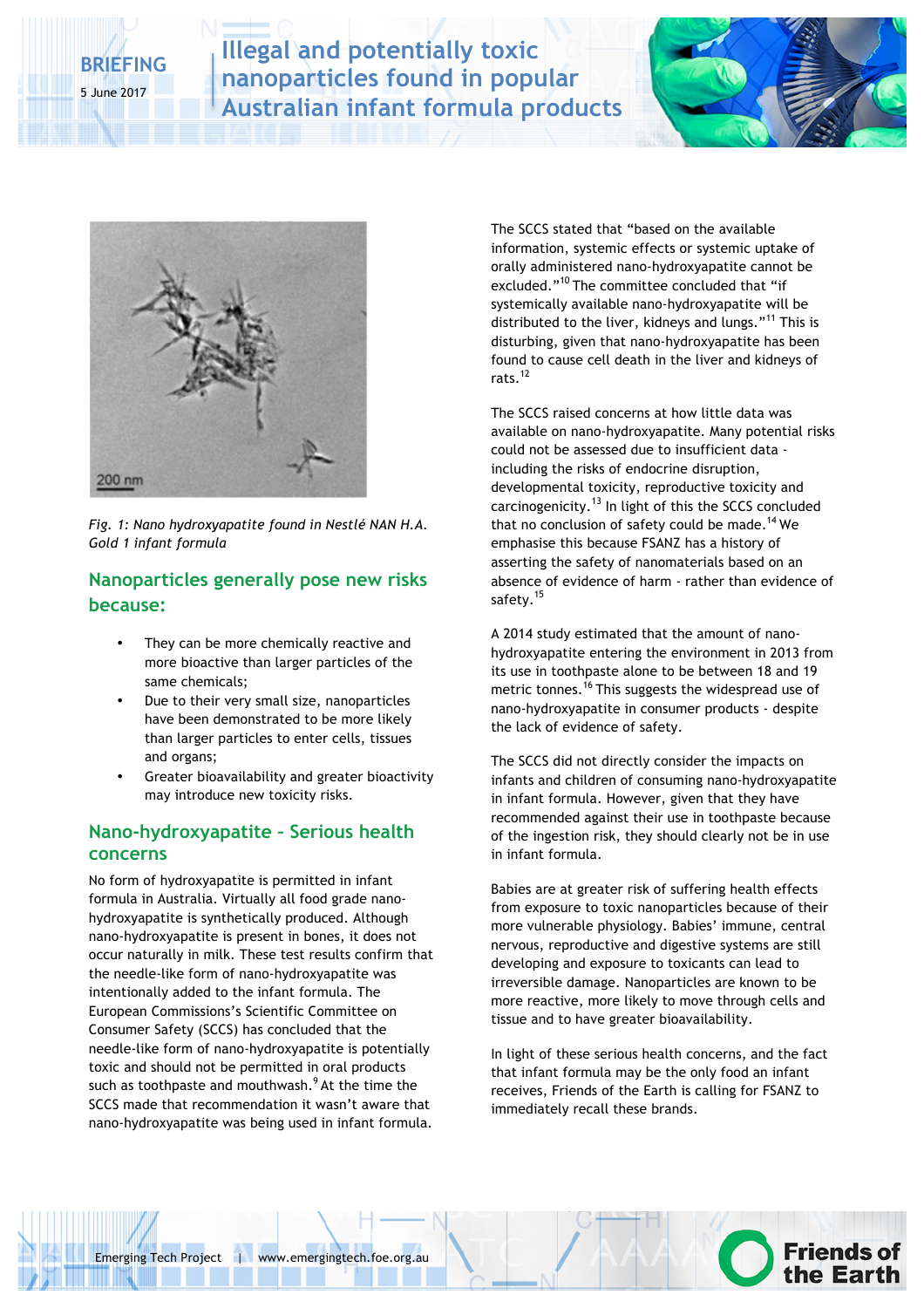# **BRIEFING** 5 June 2017

**Illegal and potentially toxic nanoparticles found in popular Australian infant formula products**





*Fig. 1: Nano hydroxyapatite found in Nestlé NAN H.A. Gold 1 infant formula*

### **Nanoparticles generally pose new risks because:**

- They can be more chemically reactive and more bioactive than larger particles of the same chemicals;
- Due to their very small size, nanoparticles have been demonstrated to be more likely than larger particles to enter cells, tissues and organs;
- Greater bioavailability and greater bioactivity may introduce new toxicity risks.

### **Nano-hydroxyapatite – Serious health concerns**

No form of hydroxyapatite is permitted in infant formula in Australia. Virtually all food grade nanohydroxyapatite is synthetically produced. Although nano-hydroxyapatite is present in bones, it does not occur naturally in milk. These test results confirm that the needle-like form of nano-hydroxyapatite was intentionally added to the infant formula. The European Commissions's Scientific Committee on Consumer Safety (SCCS) has concluded that the needle-like form of nano-hydroxyapatite is potentially toxic and should not be permitted in oral products such as toothpaste and mouthwash.<sup>9</sup> At the time the SCCS made that recommendation it wasn't aware that nano-hydroxyapatite was being used in infant formula.

The SCCS stated that "based on the available information, systemic effects or systemic uptake of orally administered nano-hydroxyapatite cannot be excluded."<sup>10</sup> The committee concluded that "if systemically available nano-hydroxyapatite will be distributed to the liver, kidneys and lungs."<sup>11</sup> This is disturbing, given that nano-hydroxyapatite has been found to cause cell death in the liver and kidneys of rats.<sup>12</sup>

The SCCS raised concerns at how little data was available on nano-hydroxyapatite. Many potential risks could not be assessed due to insufficient data including the risks of endocrine disruption, developmental toxicity, reproductive toxicity and carcinogenicity.<sup>13</sup> In light of this the SCCS concluded that no conclusion of safety could be made.<sup>14</sup> We emphasise this because FSANZ has a history of asserting the safety of nanomaterials based on an absence of evidence of harm - rather than evidence of safety.<sup>15</sup>

A 2014 study estimated that the amount of nanohydroxyapatite entering the environment in 2013 from its use in toothpaste alone to be between 18 and 19 metric tonnes.<sup>16</sup> This suggests the widespread use of nano-hydroxyapatite in consumer products - despite the lack of evidence of safety.

The SCCS did not directly consider the impacts on infants and children of consuming nano-hydroxyapatite in infant formula. However, given that they have recommended against their use in toothpaste because of the ingestion risk, they should clearly not be in use in infant formula.

Babies are at greater risk of suffering health effects from exposure to toxic nanoparticles because of their more vulnerable physiology. Babies' immune, central nervous, reproductive and digestive systems are still developing and exposure to toxicants can lead to irreversible damage. Nanoparticles are known to be more reactive, more likely to move through cells and tissue and to have greater bioavailability.

In light of these serious health concerns, and the fact that infant formula may be the only food an infant receives, Friends of the Earth is calling for FSANZ to immediately recall these brands.

**Friends of**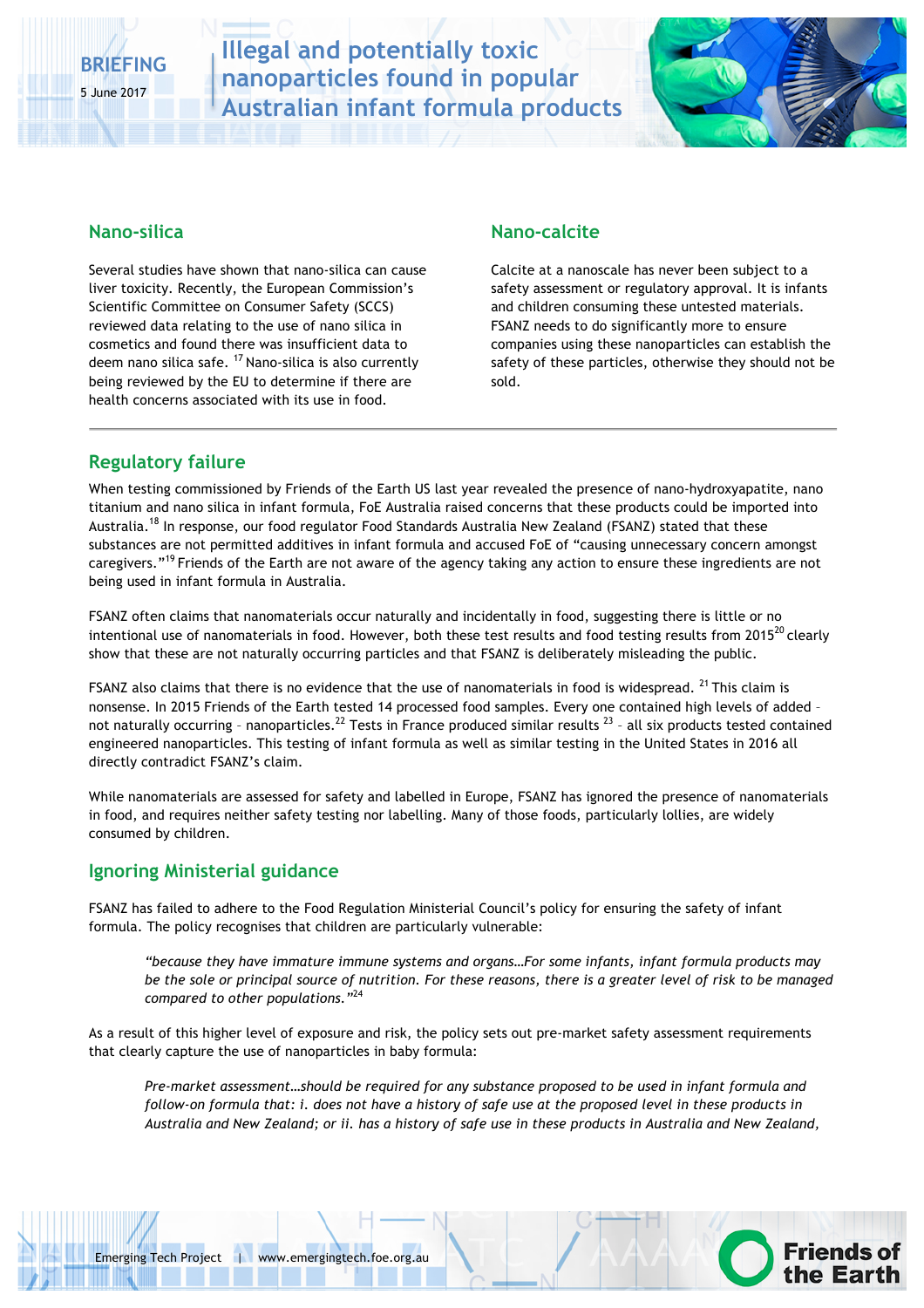# **BRIEFING**

5 June 2017

# **Illegal and potentially toxic nanoparticles found in popular Australian infant formula products**



**Friends of** 

### **Nano-silica**

Several studies have shown that nano-silica can cause liver toxicity. Recently, the European Commission's Scientific Committee on Consumer Safety (SCCS) reviewed data relating to the use of nano silica in cosmetics and found there was insufficient data to deem nano silica safe.  $17$  Nano-silica is also currently being reviewed by the EU to determine if there are health concerns associated with its use in food.

### **Nano-calcite**

Calcite at a nanoscale has never been subject to a safety assessment or regulatory approval. It is infants and children consuming these untested materials. FSANZ needs to do significantly more to ensure companies using these nanoparticles can establish the safety of these particles, otherwise they should not be sold.

## **Regulatory failure**

When testing commissioned by Friends of the Earth US last year revealed the presence of nano-hydroxyapatite, nano titanium and nano silica in infant formula, FoE Australia raised concerns that these products could be imported into Australia.<sup>18</sup> In response, our food regulator Food Standards Australia New Zealand (FSANZ) stated that these substances are not permitted additives in infant formula and accused FoE of "causing unnecessary concern amongst caregivers."<sup>19</sup> Friends of the Earth are not aware of the agency taking any action to ensure these ingredients are not being used in infant formula in Australia.

FSANZ often claims that nanomaterials occur naturally and incidentally in food, suggesting there is little or no intentional use of nanomaterials in food. However, both these test results and food testing results from  $2015^{20}$  clearly show that these are not naturally occurring particles and that FSANZ is deliberately misleading the public.

FSANZ also claims that there is no evidence that the use of nanomaterials in food is widespread. <sup>21</sup> This claim is nonsense. In 2015 Friends of the Earth tested 14 processed food samples. Every one contained high levels of added – not naturally occurring - nanoparticles.<sup>22</sup> Tests in France produced similar results<sup>23</sup> - all six products tested contained engineered nanoparticles. This testing of infant formula as well as similar testing in the United States in 2016 all directly contradict FSANZ's claim.

While nanomaterials are assessed for safety and labelled in Europe, FSANZ has ignored the presence of nanomaterials in food, and requires neither safety testing nor labelling. Many of those foods, particularly lollies, are widely consumed by children.

## **Ignoring Ministerial guidance**

FSANZ has failed to adhere to the Food Regulation Ministerial Council's policy for ensuring the safety of infant formula. The policy recognises that children are particularly vulnerable:

*"because they have immature immune systems and organs…For some infants, infant formula products may be the sole or principal source of nutrition. For these reasons, there is a greater level of risk to be managed compared to other populations."*<sup>24</sup>

As a result of this higher level of exposure and risk, the policy sets out pre-market safety assessment requirements that clearly capture the use of nanoparticles in baby formula:

*Pre-market assessment…should be required for any substance proposed to be used in infant formula and follow-on formula that: i. does not have a history of safe use at the proposed level in these products in Australia and New Zealand; or ii. has a history of safe use in these products in Australia and New Zealand,*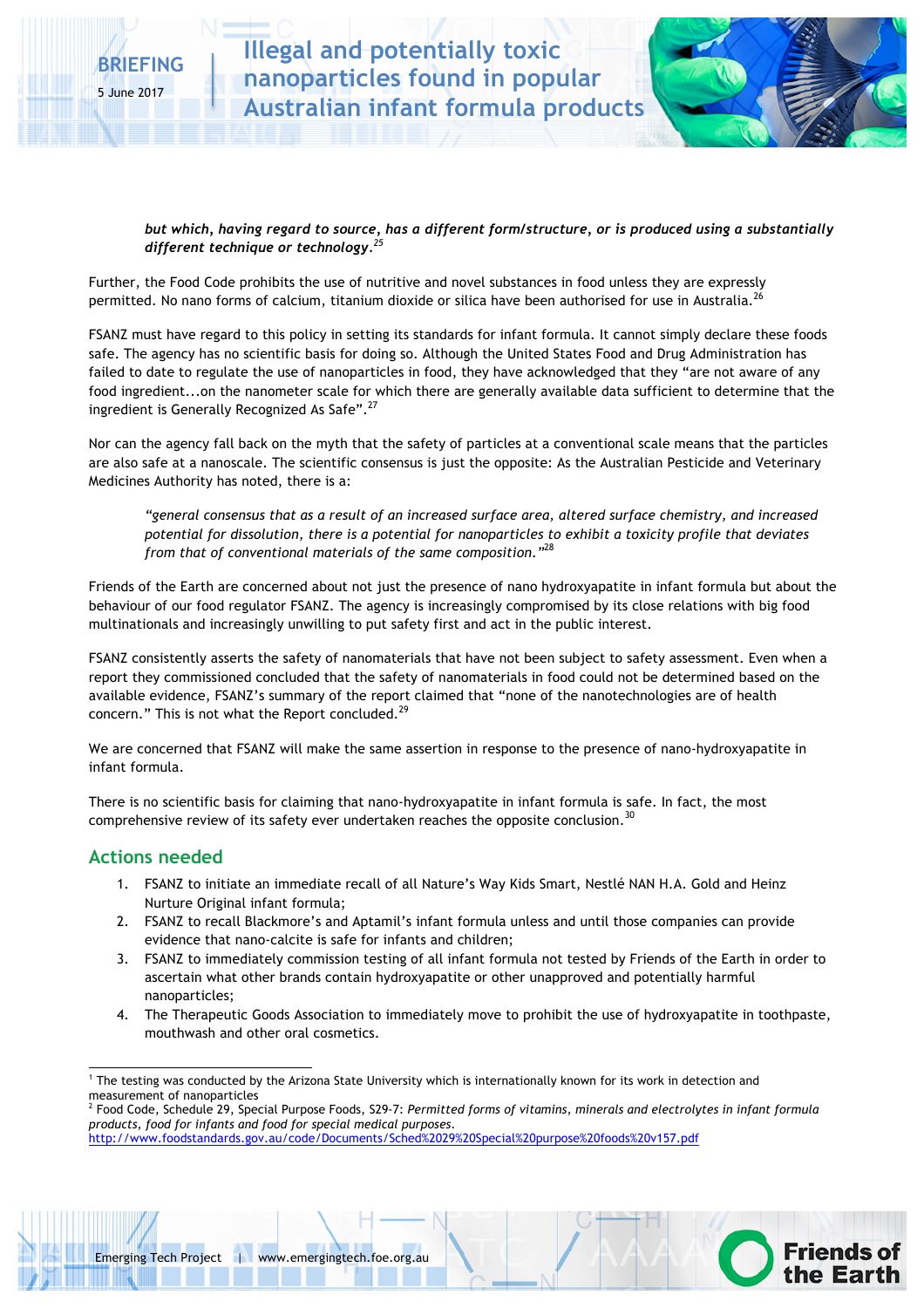

**Friends of** 

*but which, having regard to source, has a different form/structure, or is produced using a substantially different technique or technology.<sup>25</sup>*

Further, the Food Code prohibits the use of nutritive and novel substances in food unless they are expressly permitted. No nano forms of calcium, titanium dioxide or silica have been authorised for use in Australia.<sup>26</sup>

FSANZ must have regard to this policy in setting its standards for infant formula. It cannot simply declare these foods safe. The agency has no scientific basis for doing so. Although the United States Food and Drug Administration has failed to date to regulate the use of nanoparticles in food, they have acknowledged that they "are not aware of any food ingredient...on the nanometer scale for which there are generally available data sufficient to determine that the ingredient is Generally Recognized As Safe".<sup>27</sup>

Nor can the agency fall back on the myth that the safety of particles at a conventional scale means that the particles are also safe at a nanoscale. The scientific consensus is just the opposite: As the Australian Pesticide and Veterinary Medicines Authority has noted, there is a:

*"general consensus that as a result of an increased surface area, altered surface chemistry, and increased potential for dissolution, there is a potential for nanoparticles to exhibit a toxicity profile that deviates from that of conventional materials of the same composition."*<sup>28</sup>

Friends of the Earth are concerned about not just the presence of nano hydroxyapatite in infant formula but about the behaviour of our food regulator FSANZ. The agency is increasingly compromised by its close relations with big food multinationals and increasingly unwilling to put safety first and act in the public interest.

FSANZ consistently asserts the safety of nanomaterials that have not been subject to safety assessment. Even when a report they commissioned concluded that the safety of nanomaterials in food could not be determined based on the available evidence, FSANZ's summary of the report claimed that "none of the nanotechnologies are of health concern." This is not what the Report concluded.<sup>29</sup>

We are concerned that FSANZ will make the same assertion in response to the presence of nano-hydroxyapatite in infant formula.

There is no scientific basis for claiming that nano-hydroxyapatite in infant formula is safe. In fact, the most comprehensive review of its safety ever undertaken reaches the opposite conclusion.<sup>30</sup>

### **Actions needed**

- 1. FSANZ to initiate an immediate recall of all Nature's Way Kids Smart, Nestlé NAN H.A. Gold and Heinz Nurture Original infant formula;
- 2. FSANZ to recall Blackmore's and Aptamil's infant formula unless and until those companies can provide evidence that nano-calcite is safe for infants and children;
- 3. FSANZ to immediately commission testing of all infant formula not tested by Friends of the Earth in order to ascertain what other brands contain hydroxyapatite or other unapproved and potentially harmful nanoparticles;
- 4. The Therapeutic Goods Association to immediately move to prohibit the use of hydroxyapatite in toothpaste, mouthwash and other oral cosmetics.



 $1$  The testing was conducted by the Arizona State University which is internationally known for its work in detection and measurement of nanoparticles

<sup>2</sup> Food Code, Schedule 29, Special Purpose Foods, S29-7: *Permitted forms of vitamins, minerals and electrolytes in infant formula products, food for infants and food for special medical purposes*. http://www.foodstandards.gov.au/code/Documents/Sched%2029%20Special%20purpose%20foods%20v157.pdf